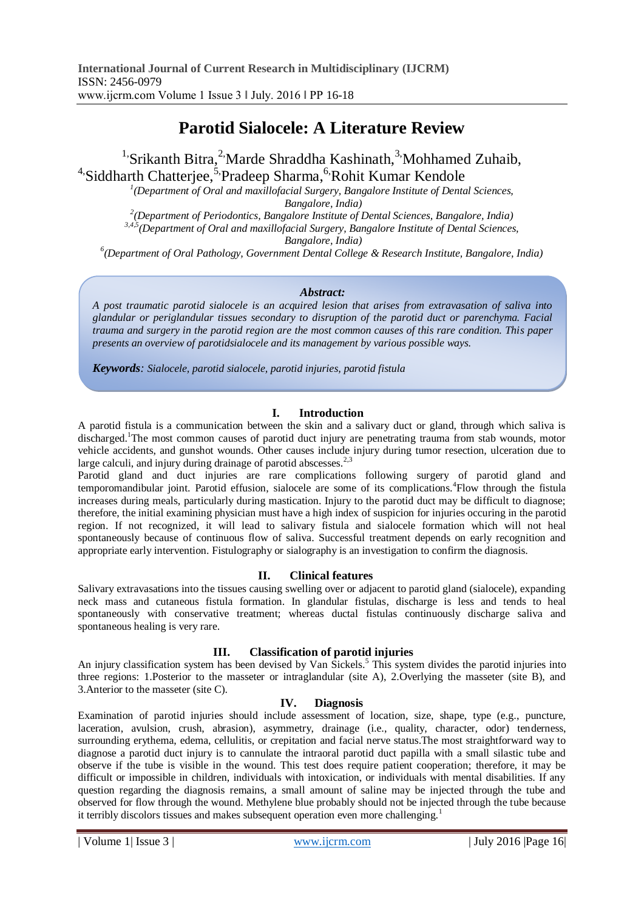# **Parotid Sialocele: A Literature Review**

<sup>1,</sup>Srikanth Bitra,<sup>2</sup>,Marde Shraddha Kashinath,<sup>3</sup>,Mohhamed Zuhaib, <sup>4,</sup>Siddharth Chatterjee,<sup>5,</sup>Pradeep Sharma,<sup>6,</sup>Rohit Kumar Kendole

*1 (Department of Oral and maxillofacial Surgery, Bangalore Institute of Dental Sciences, Bangalore, India)*

*2 (Department of Periodontics, Bangalore Institute of Dental Sciences, Bangalore, India) 3,4,5(Department of Oral and maxillofacial Surgery, Bangalore Institute of Dental Sciences,*

*Bangalore, India)*

*6 (Department of Oral Pathology, Government Dental College & Research Institute, Bangalore, India)*

### *Abstract:*

*A post traumatic parotid sialocele is an acquired lesion that arises from extravasation of saliva into glandular or periglandular tissues secondary to disruption of the parotid duct or parenchyma. Facial trauma and surgery in the parotid region are the most common causes of this rare condition. This paper presents an overview of parotidsialocele and its management by various possible ways.*

*Keywords: Sialocele, parotid sialocele, parotid injuries, parotid fistula*

## **I. Introduction**

A parotid fistula is a communication between the skin and a salivary duct or gland, through which saliva is discharged.<sup>1</sup>The most common causes of parotid duct injury are penetrating trauma from stab wounds, motor vehicle accidents, and gunshot wounds. Other causes include injury during tumor resection, ulceration due to large calculi, and injury during drainage of parotid abscesses.<sup>2,3</sup>

Parotid gland and duct injuries are rare complications following surgery of parotid gland and temporomandibular joint. Parotid effusion, sialocele are some of its complications.<sup>4</sup>Flow through the fistula increases during meals, particularly during mastication. Injury to the parotid duct may be difficult to diagnose; therefore, the initial examining physician must have a high index of suspicion for injuries occuring in the parotid region. If not recognized, it will lead to salivary fistula and sialocele formation which will not heal spontaneously because of continuous flow of saliva. Successful treatment depends on early recognition and appropriate early intervention. Fistulography or sialography is an investigation to confirm the diagnosis.

## **II. Clinical features**

Salivary extravasations into the tissues causing swelling over or adjacent to parotid gland (sialocele), expanding neck mass and cutaneous fistula formation. In glandular fistulas, discharge is less and tends to heal spontaneously with conservative treatment; whereas ductal fistulas continuously discharge saliva and spontaneous healing is very rare.

## **III. Classification of parotid injuries**

An injury classification system has been devised by Van Sickels.<sup>5</sup> This system divides the parotid injuries into three regions: 1.Posterior to the masseter or intraglandular (site A), 2.Overlying the masseter (site B), and 3.Anterior to the masseter (site C).

## **IV. Diagnosis**

Examination of parotid injuries should include assessment of location, size, shape, type (e.g., puncture, laceration, avulsion, crush, abrasion), asymmetry, drainage (i.e., quality, character, odor) tenderness, surrounding erythema, edema, cellulitis, or crepitation and facial nerve status.The most straightforward way to diagnose a parotid duct injury is to cannulate the intraoral parotid duct papilla with a small silastic tube and observe if the tube is visible in the wound. This test does require patient cooperation; therefore, it may be difficult or impossible in children, individuals with intoxication, or individuals with mental disabilities. If any question regarding the diagnosis remains, a small amount of saline may be injected through the tube and observed for flow through the wound. Methylene blue probably should not be injected through the tube because it terribly discolors tissues and makes subsequent operation even more challenging.<sup>1</sup>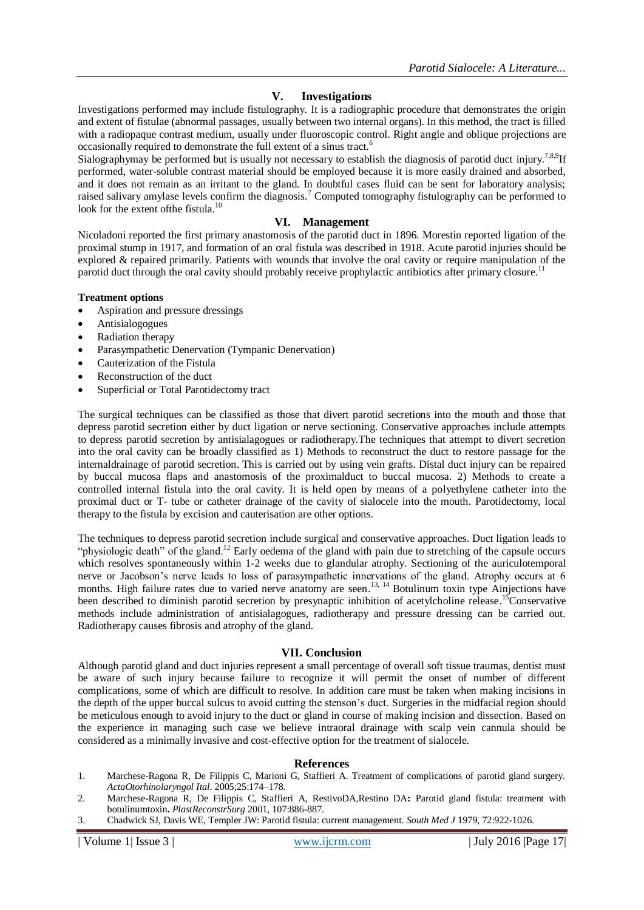## **V. Investigations**

Investigations performed may include fistulography. It is a radiographic procedure that demonstrates the origin and extent of fistulae (abnormal passages, usually between two internal organs). In this method, the tract is filled with a radiopaque contrast medium, usually under fluoroscopic control. Right angle and oblique projections are occasionally required to demonstrate the full extent of a sinus tract.<sup>6</sup>

Sialographymay be performed but is usually not necessary to establish the diagnosis of parotid duct injury.<sup>7,8,9</sup>If performed, water-soluble contrast material should be employed because it is more easily drained and absorbed, and it does not remain as an irritant to the gland. In doubtful cases fluid can be sent for laboratory analysis; raised salivary amylase levels confirm the diagnosis.<sup>7</sup> Computed tomography fistulography can be performed to look for the extent of the fistula.<sup>10</sup>

## **VI. Management**

Nicoladoni reported the first primary anastomosis of the parotid duct in 1896. Morestin reported ligation of the proximal stump in 1917, and formation of an oral fistula was described in 1918. Acute parotid injuries should be explored & repaired primarily. Patients with wounds that involve the oral cavity or require manipulation of the parotid duct through the oral cavity should probably receive prophylactic antibiotics after primary closure.<sup>11</sup>

## **Treatment options**

- Aspiration and pressure dressings
- Antisialogogues
- Radiation therapy
- Parasympathetic Denervation (Tympanic Denervation)
- Cauterization of the Fistula
- Reconstruction of the duct
- Superficial or Total Parotidectomy tract

The surgical techniques can be classified as those that divert parotid secretions into the mouth and those that depress parotid secretion either by duct ligation or nerve sectioning. Conservative approaches include attempts to depress parotid secretion by antisialagogues or radiotherapy.The techniques that attempt to divert secretion into the oral cavity can be broadly classified as 1) Methods to reconstruct the duct to restore passage for the internaldrainage of parotid secretion. This is carried out by using vein grafts. Distal duct injury can be repaired by buccal mucosa flaps and anastomosis of the proximalduct to buccal mucosa. 2) Methods to create a controlled internal fistula into the oral cavity. It is held open by means of a polyethylene catheter into the proximal duct or T- tube or catheter drainage of the cavity of sialocele into the mouth. Parotidectomy, local therapy to the fistula by excision and cauterisation are other options.

The techniques to depress parotid secretion include surgical and conservative approaches. Duct ligation leads to "physiologic death" of the gland.<sup>12</sup> Early oedema of the gland with pain due to stretching of the capsule occurs which resolves spontaneously within 1-2 weeks due to glandular atrophy. Sectioning of the auriculotemporal nerve or Jacobson's nerve leads to loss of parasympathetic innervations of the gland. Atrophy occurs at 6 months. High failure rates due to varied nerve anatomy are seen.<sup>13, 14</sup> Botulinum toxin type Ainjections have been described to diminish parotid secretion by presynaptic inhibition of acetylcholine release.<sup>15</sup>Conservative methods include administration of antisialagogues, radiotherapy and pressure dressing can be carried out. Radiotherapy causes fibrosis and atrophy of the gland.

## **VII. Conclusion**

Although parotid gland and duct injuries represent a small percentage of overall soft tissue traumas, dentist must be aware of such injury because failure to recognize it will permit the onset of number of different complications, some of which are difficult to resolve. In addition care must be taken when making incisions in the depth of the upper buccal sulcus to avoid cutting the stenson's duct. Surgeries in the midfacial region should be meticulous enough to avoid injury to the duct or gland in course of making incision and dissection. Based on the experience in managing such case we believe intraoral drainage with scalp vein cannula should be considered as a minimally invasive and cost-effective option for the treatment of sialocele.

#### **References**

- 1. Marchese-Ragona R, De Filippis C, Marioni G, Staffieri A. Treatment of complications of parotid gland surgery. *ActaOtorhinolaryngol Ital*. 2005;25:174–178.
- 2. Marchese-Ragona R, De Filippis C, Staffieri A, RestivoDA,Restino DA**:** Parotid gland fistula: treatment with botulinumtoxin**.** *PlastReconstrSurg* 2001, 107:886-887.
- 3. Chadwick SJ, Davis WE, Templer JW: Parotid fistula: current management. *South Med J* 1979, 72:922-1026.